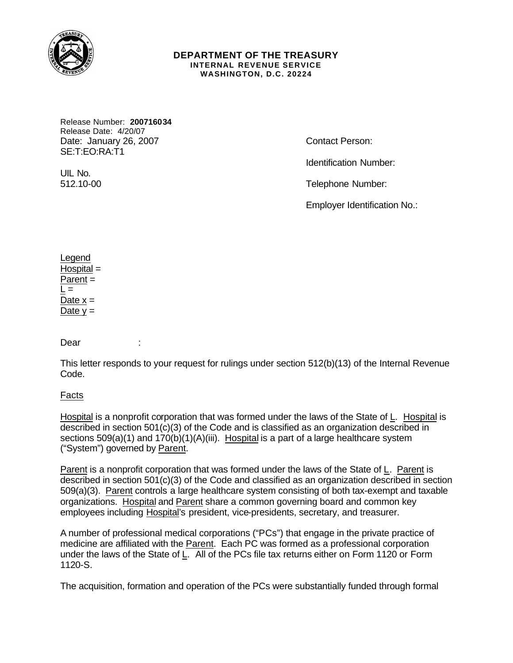

#### **DEPARTMENT OF THE TREASURY INTERNAL REVENUE SERVICE WASHINGTON, D.C. 20224**

Release Number: **200716034** Release Date: 4/20/07 Date: January 26, 2007 Contact Person: SE:T:EO:RA:T1

Identification Number:

UIL No.

512.10-00 Telephone Number:

Employer Identification No.:

Legend Hospital = Parent =  $L =$ Date  $x =$ Date  $y =$ 

Dear :

This letter responds to your request for rulings under section 512(b)(13) of the Internal Revenue Code.

Facts

Hospital is a nonprofit corporation that was formed under the laws of the State of L. Hospital is described in section 501(c)(3) of the Code and is classified as an organization described in sections  $509(a)(1)$  and  $170(b)(1)(A)(iii)$ . Hospital is a part of a large healthcare system ("System") governed by Parent.

Parent is a nonprofit corporation that was formed under the laws of the State of L. Parent is described in section 501(c)(3) of the Code and classified as an organization described in section 509(a)(3). Parent controls a large healthcare system consisting of both tax-exempt and taxable organizations. Hospital and Parent share a common governing board and common key employees including Hospital's president, vice-presidents, secretary, and treasurer.

A number of professional medical corporations ("PCs") that engage in the private practice of medicine are affiliated with the Parent. Each PC was formed as a professional corporation under the laws of the State of L. All of the PCs file tax returns either on Form 1120 or Form 1120-S.

The acquisition, formation and operation of the PCs were substantially funded through formal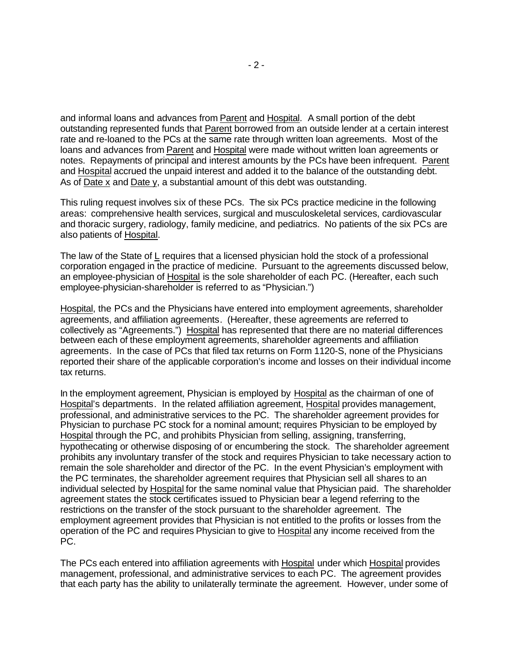and informal loans and advances from Parent and Hospital. A small portion of the debt outstanding represented funds that Parent borrowed from an outside lender at a certain interest rate and re-loaned to the PCs at the same rate through written loan agreements. Most of the loans and advances from Parent and Hospital were made without written loan agreements or notes. Repayments of principal and interest amounts by the PCs have been infrequent. Parent and Hospital accrued the unpaid interest and added it to the balance of the outstanding debt. As of Date x and Date y, a substantial amount of this debt was outstanding.

This ruling request involves six of these PCs. The six PCs practice medicine in the following areas: comprehensive health services, surgical and musculoskeletal services, cardiovascular and thoracic surgery, radiology, family medicine, and pediatrics. No patients of the six PCs are also patients of Hospital.

The law of the State of L requires that a licensed physician hold the stock of a professional corporation engaged in the practice of medicine. Pursuant to the agreements discussed below, an employee-physician of Hospital is the sole shareholder of each PC. (Hereafter, each such employee-physician-shareholder is referred to as "Physician.")

Hospital, the PCs and the Physicians have entered into employment agreements, shareholder agreements, and affiliation agreements. (Hereafter, these agreements are referred to collectively as "Agreements.") Hospital has represented that there are no material differences between each of these employment agreements, shareholder agreements and affiliation agreements. In the case of PCs that filed tax returns on Form 1120-S, none of the Physicians reported their share of the applicable corporation's income and losses on their individual income tax returns.

In the employment agreement, Physician is employed by Hospital as the chairman of one of Hospital's departments. In the related affiliation agreement, Hospital provides management, professional, and administrative services to the PC. The shareholder agreement provides for Physician to purchase PC stock for a nominal amount; requires Physician to be employed by Hospital through the PC, and prohibits Physician from selling, assigning, transferring, hypothecating or otherwise disposing of or encumbering the stock. The shareholder agreement prohibits any involuntary transfer of the stock and requires Physician to take necessary action to remain the sole shareholder and director of the PC. In the event Physician's employment with the PC terminates, the shareholder agreement requires that Physician sell all shares to an individual selected by Hospital for the same nominal value that Physician paid. The shareholder agreement states the stock certificates issued to Physician bear a legend referring to the restrictions on the transfer of the stock pursuant to the shareholder agreement. The employment agreement provides that Physician is not entitled to the profits or losses from the operation of the PC and requires Physician to give to Hospital any income received from the PC.

The PCs each entered into affiliation agreements with Hospital under which Hospital provides management, professional, and administrative services to each PC. The agreement provides that each party has the ability to unilaterally terminate the agreement. However, under some of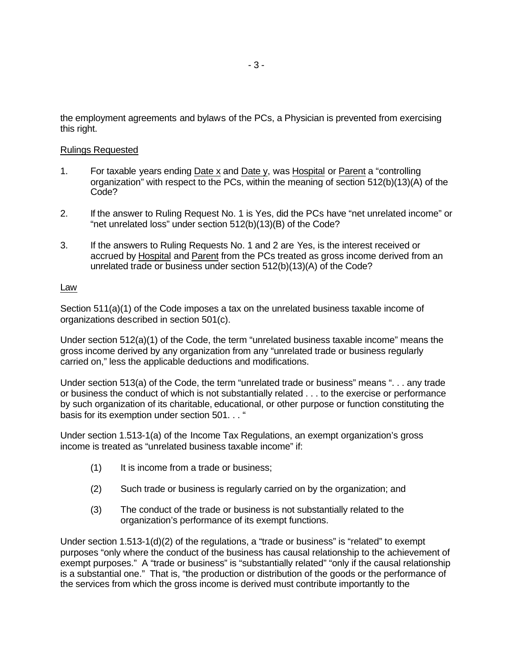the employment agreements and bylaws of the PCs, a Physician is prevented from exercising this right.

# Rulings Requested

- 1. For taxable years ending Date x and Date y, was Hospital or Parent a "controlling organization" with respect to the PCs, within the meaning of section 512(b)(13)(A) of the Code?
- 2. If the answer to Ruling Request No. 1 is Yes, did the PCs have "net unrelated income" or "net unrelated loss" under section 512(b)(13)(B) of the Code?
- 3. If the answers to Ruling Requests No. 1 and 2 are Yes, is the interest received or accrued by Hospital and Parent from the PCs treated as gross income derived from an unrelated trade or business under section 512(b)(13)(A) of the Code?

## Law

Section 511(a)(1) of the Code imposes a tax on the unrelated business taxable income of organizations described in section 501(c).

Under section 512(a)(1) of the Code, the term "unrelated business taxable income" means the gross income derived by any organization from any "unrelated trade or business regularly carried on," less the applicable deductions and modifications.

Under section 513(a) of the Code, the term "unrelated trade or business" means ". . . any trade or business the conduct of which is not substantially related . . . to the exercise or performance by such organization of its charitable, educational, or other purpose or function constituting the basis for its exemption under section 501. . . "

Under section 1.513-1(a) of the Income Tax Regulations, an exempt organization's gross income is treated as "unrelated business taxable income" if:

- (1) It is income from a trade or business;
- (2) Such trade or business is regularly carried on by the organization; and
- (3) The conduct of the trade or business is not substantially related to the organization's performance of its exempt functions.

Under section 1.513-1(d)(2) of the regulations, a "trade or business" is "related" to exempt purposes "only where the conduct of the business has causal relationship to the achievement of exempt purposes." A "trade or business" is "substantially related" "only if the causal relationship is a substantial one." That is, "the production or distribution of the goods or the performance of the services from which the gross income is derived must contribute importantly to the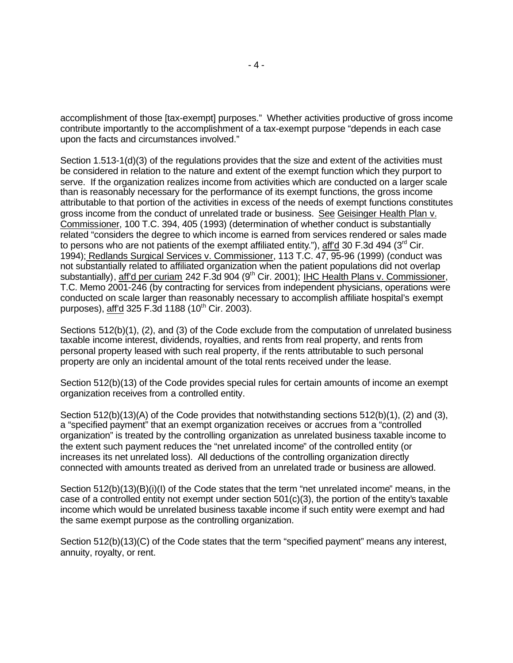accomplishment of those [tax-exempt] purposes." Whether activities productive of gross income contribute importantly to the accomplishment of a tax-exempt purpose "depends in each case upon the facts and circumstances involved."

Section 1.513-1(d)(3) of the regulations provides that the size and extent of the activities must be considered in relation to the nature and extent of the exempt function which they purport to serve. If the organization realizes income from activities which are conducted on a larger scale than is reasonably necessary for the performance of its exempt functions, the gross income attributable to that portion of the activities in excess of the needs of exempt functions constitutes gross income from the conduct of unrelated trade or business. See Geisinger Health Plan v. Commissioner, 100 T.C. 394, 405 (1993) (determination of whether conduct is substantially related "considers the degree to which income is earned from services rendered or sales made to persons who are not patients of the exempt affiliated entity."), aff'd 30 F.3d 494 ( $3<sup>rd</sup>$  Cir. 1994); Redlands Surgical Services v. Commissioner, 113 T.C. 47, 95-96 (1999) (conduct was not substantially related to affiliated organization when the patient populations did not overlap substantially), aff'd per curiam 242 F.3d 904 (9<sup>th</sup> Cir. 2001); IHC Health Plans v. Commissioner, T.C. Memo 2001-246 (by contracting for services from independent physicians, operations were conducted on scale larger than reasonably necessary to accomplish affiliate hospital's exempt purposes), aff'd 325 F.3d 1188 (10<sup>th</sup> Cir. 2003).

Sections 512(b)(1), (2), and (3) of the Code exclude from the computation of unrelated business taxable income interest, dividends, royalties, and rents from real property, and rents from personal property leased with such real property, if the rents attributable to such personal property are only an incidental amount of the total rents received under the lease.

Section 512(b)(13) of the Code provides special rules for certain amounts of income an exempt organization receives from a controlled entity.

Section 512(b)(13)(A) of the Code provides that notwithstanding sections 512(b)(1), (2) and (3), a "specified payment" that an exempt organization receives or accrues from a "controlled organization" is treated by the controlling organization as unrelated business taxable income to the extent such payment reduces the "net unrelated income" of the controlled entity (or increases its net unrelated loss). All deductions of the controlling organization directly connected with amounts treated as derived from an unrelated trade or business are allowed.

Section 512(b)(13)(B)(i)(I) of the Code states that the term "net unrelated income" means, in the case of a controlled entity not exempt under section 501(c)(3), the portion of the entity's taxable income which would be unrelated business taxable income if such entity were exempt and had the same exempt purpose as the controlling organization.

Section 512(b)(13)(C) of the Code states that the term "specified payment" means any interest, annuity, royalty, or rent.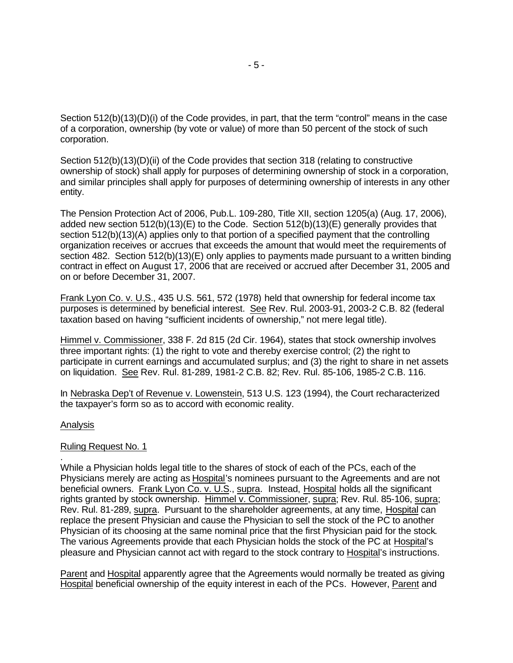Section 512(b)(13)(D)(i) of the Code provides, in part, that the term "control" means in the case of a corporation, ownership (by vote or value) of more than 50 percent of the stock of such corporation.

Section 512(b)(13)(D)(ii) of the Code provides that section 318 (relating to constructive ownership of stock) shall apply for purposes of determining ownership of stock in a corporation, and similar principles shall apply for purposes of determining ownership of interests in any other entity.

The Pension Protection Act of 2006, Pub.L. 109-280, Title XII, section 1205(a) (Aug. 17, 2006), added new section 512(b)(13)(E) to the Code. Section 512(b)(13)(E) generally provides that section 512(b)(13)(A) applies only to that portion of a specified payment that the controlling organization receives or accrues that exceeds the amount that would meet the requirements of section 482. Section 512(b)(13)(E) only applies to payments made pursuant to a written binding contract in effect on August 17, 2006 that are received or accrued after December 31, 2005 and on or before December 31, 2007.

Frank Lyon Co. v. U.S., 435 U.S. 561, 572 (1978) held that ownership for federal income tax purposes is determined by beneficial interest. See Rev. Rul. 2003-91, 2003-2 C.B. 82 (federal taxation based on having "sufficient incidents of ownership," not mere legal title).

Himmel v. Commissioner, 338 F. 2d 815 (2d Cir. 1964), states that stock ownership involves three important rights: (1) the right to vote and thereby exercise control; (2) the right to participate in current earnings and accumulated surplus; and (3) the right to share in net assets on liquidation. See Rev. Rul. 81-289, 1981-2 C.B. 82; Rev. Rul. 85-106, 1985-2 C.B. 116.

In Nebraska Dep't of Revenue v. Lowenstein, 513 U.S. 123 (1994), the Court recharacterized the taxpayer's form so as to accord with economic reality.

### Analysis

.

#### Ruling Request No. 1

While a Physician holds legal title to the shares of stock of each of the PCs, each of the Physicians merely are acting as Hospital's nominees pursuant to the Agreements and are not beneficial owners. Frank Lyon Co. v. U.S., supra. Instead, Hospital holds all the significant rights granted by stock ownership. Himmel v. Commissioner, supra; Rev. Rul. 85-106, supra; Rev. Rul. 81-289, supra. Pursuant to the shareholder agreements, at any time, Hospital can replace the present Physician and cause the Physician to sell the stock of the PC to another Physician of its choosing at the same nominal price that the first Physician paid for the stock. The various Agreements provide that each Physician holds the stock of the PC at Hospital's pleasure and Physician cannot act with regard to the stock contrary to Hospital's instructions.

Parent and Hospital apparently agree that the Agreements would normally be treated as giving Hospital beneficial ownership of the equity interest in each of the PCs. However, Parent and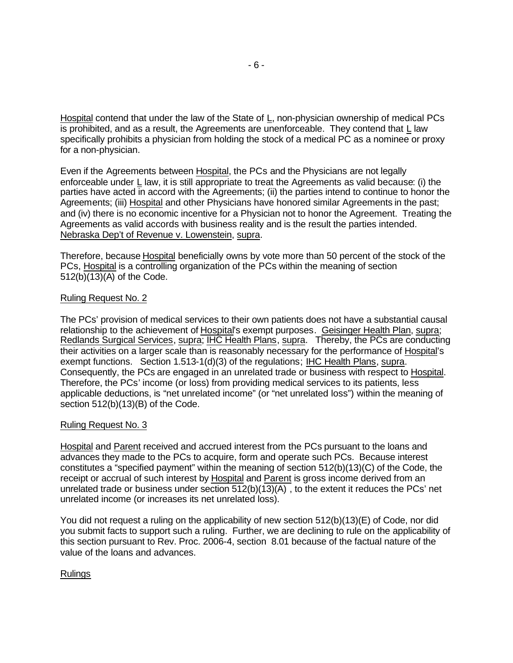Hospital contend that under the law of the State of L, non-physician ownership of medical PCs is prohibited, and as a result, the Agreements are unenforceable. They contend that L law specifically prohibits a physician from holding the stock of a medical PC as a nominee or proxy for a non-physician.

Even if the Agreements between Hospital, the PCs and the Physicians are not legally enforceable under L law, it is still appropriate to treat the Agreements as valid because: (i) the parties have acted in accord with the Agreements; (ii) the parties intend to continue to honor the Agreements; (iii) Hospital and other Physicians have honored similar Agreements in the past; and (iv) there is no economic incentive for a Physician not to honor the Agreement. Treating the Agreements as valid accords with business reality and is the result the parties intended. Nebraska Dep't of Revenue v. Lowenstein, supra.

Therefore, because Hospital beneficially owns by vote more than 50 percent of the stock of the PCs, Hospital is a controlling organization of the PCs within the meaning of section 512(b)(13)(A) of the Code.

### Ruling Request No. 2

The PCs' provision of medical services to their own patients does not have a substantial causal relationship to the achievement of Hospital's exempt purposes. Geisinger Health Plan, supra; Redlands Surgical Services, supra; IHC Health Plans, supra. Thereby, the PCs are conducting their activities on a larger scale than is reasonably necessary for the performance of Hospital's exempt functions. Section 1.513-1(d)(3) of the regulations; IHC Health Plans, supra. Consequently, the PCs are engaged in an unrelated trade or business with respect to Hospital. Therefore, the PCs' income (or loss) from providing medical services to its patients, less applicable deductions, is "net unrelated income" (or "net unrelated loss") within the meaning of section 512(b)(13)(B) of the Code.

### Ruling Request No. 3

Hospital and Parent received and accrued interest from the PCs pursuant to the loans and advances they made to the PCs to acquire, form and operate such PCs. Because interest constitutes a "specified payment" within the meaning of section 512(b)(13)(C) of the Code, the receipt or accrual of such interest by Hospital and Parent is gross income derived from an unrelated trade or business under section 512(b)(13)(A) , to the extent it reduces the PCs' net unrelated income (or increases its net unrelated loss).

You did not request a ruling on the applicability of new section 512(b)(13)(E) of Code, nor did you submit facts to support such a ruling. Further, we are declining to rule on the applicability of this section pursuant to Rev. Proc. 2006-4, section 8.01 because of the factual nature of the value of the loans and advances.

### Rulings